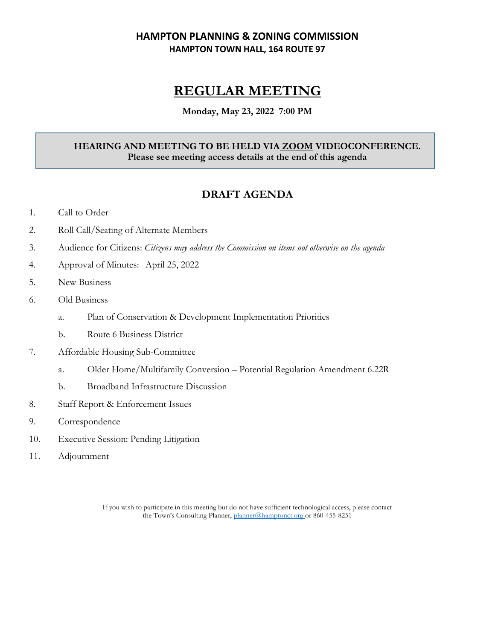## **HAMPTON PLANNING & ZONING COMMISSION HAMPTON TOWN HALL, 164 ROUTE 97**

# **REGULAR MEETING**

#### **Monday, May 23, 2022 7:00 PM**

### **HEARING AND MEETING TO BE HELD VIA ZOOM VIDEOCONFERENCE. Please see meeting access details at the end of this agenda**

# **DRAFT AGENDA**

- 1. Call to Order
- 2. Roll Call/Seating of Alternate Members
- 3. Audience for Citizens: *Citizens may address the Commission on items not otherwise on the agenda*
- 4. Approval of Minutes: April 25, 2022
- 5. New Business
- 6. Old Business
	- a. Plan of Conservation & Development Implementation Priorities
	- b. Route 6 Business District
- 7. Affordable Housing Sub-Committee
	- a. Older Home/Multifamily Conversion Potential Regulation Amendment 6.22R
	- b. Broadband Infrastructure Discussion
- 8. Staff Report & Enforcement Issues
- 9. Correspondence
- 10. Executive Session: Pending Litigation
- 11. Adjournment

If you wish to participate in this meeting but do not have sufficient technological access, please contact the Town's Consulting Planner, [planner@hamptonct.org](mailto:planner@hamptonct.org) or 860-455-8251